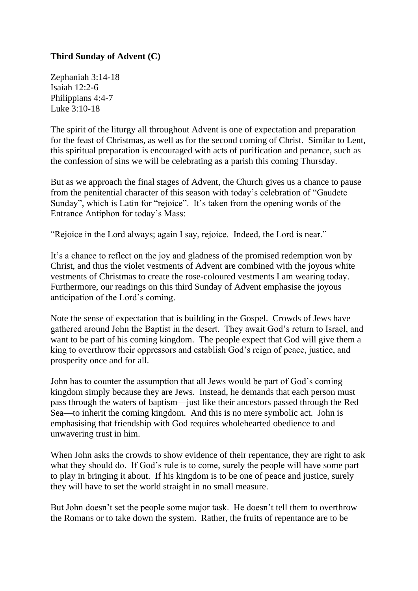## **Third Sunday of Advent (C)**

Zephaniah 3:14-18 Isaiah 12:2-6 Philippians 4:4-7 Luke 3:10-18

The spirit of the liturgy all throughout Advent is one of expectation and preparation for the feast of Christmas, as well as for the second coming of Christ. Similar to Lent, this spiritual preparation is encouraged with acts of purification and penance, such as the confession of sins we will be celebrating as a parish this coming Thursday.

But as we approach the final stages of Advent, the Church gives us a chance to pause from the penitential character of this season with today's celebration of "Gaudete Sunday", which is Latin for "rejoice". It's taken from the opening words of the Entrance Antiphon for today's Mass:

"Rejoice in the Lord always; again I say, rejoice. Indeed, the Lord is near."

It's a chance to reflect on the joy and gladness of the promised redemption won by Christ, and thus the violet vestments of Advent are combined with the joyous white vestments of Christmas to create the rose-coloured vestments I am wearing today. Furthermore, our readings on this third Sunday of Advent emphasise the joyous anticipation of the Lord's coming.

Note the sense of expectation that is building in the Gospel. Crowds of Jews have gathered around John the Baptist in the desert. They await God's return to Israel, and want to be part of his coming kingdom. The people expect that God will give them a king to overthrow their oppressors and establish God's reign of peace, justice, and prosperity once and for all.

John has to counter the assumption that all Jews would be part of God's coming kingdom simply because they are Jews. Instead, he demands that each person must pass through the waters of baptism—just like their ancestors passed through the Red Sea—to inherit the coming kingdom. And this is no mere symbolic act. John is emphasising that friendship with God requires wholehearted obedience to and unwavering trust in him.

When John asks the crowds to show evidence of their repentance, they are right to ask what they should do. If God's rule is to come, surely the people will have some part to play in bringing it about. If his kingdom is to be one of peace and justice, surely they will have to set the world straight in no small measure.

But John doesn't set the people some major task. He doesn't tell them to overthrow the Romans or to take down the system. Rather, the fruits of repentance are to be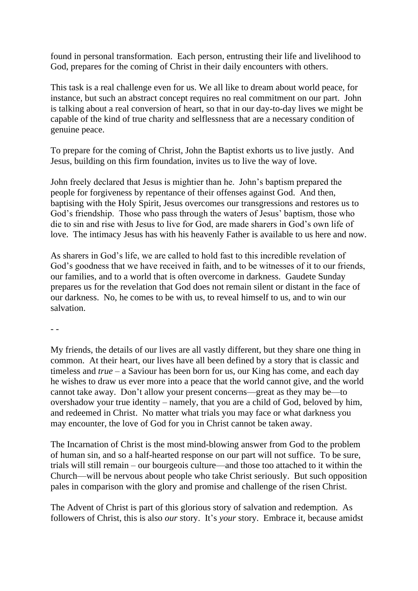found in personal transformation. Each person, entrusting their life and livelihood to God, prepares for the coming of Christ in their daily encounters with others.

This task is a real challenge even for us. We all like to dream about world peace, for instance, but such an abstract concept requires no real commitment on our part. John is talking about a real conversion of heart, so that in our day-to-day lives we might be capable of the kind of true charity and selflessness that are a necessary condition of genuine peace.

To prepare for the coming of Christ, John the Baptist exhorts us to live justly. And Jesus, building on this firm foundation, invites us to live the way of love.

John freely declared that Jesus is mightier than he. John's baptism prepared the people for forgiveness by repentance of their offenses against God. And then, baptising with the Holy Spirit, Jesus overcomes our transgressions and restores us to God's friendship. Those who pass through the waters of Jesus' baptism, those who die to sin and rise with Jesus to live for God, are made sharers in God's own life of love. The intimacy Jesus has with his heavenly Father is available to us here and now.

As sharers in God's life, we are called to hold fast to this incredible revelation of God's goodness that we have received in faith, and to be witnesses of it to our friends, our families, and to a world that is often overcome in darkness. Gaudete Sunday prepares us for the revelation that God does not remain silent or distant in the face of our darkness. No, he comes to be with us, to reveal himself to us, and to win our salvation.

- -

My friends, the details of our lives are all vastly different, but they share one thing in common. At their heart, our lives have all been defined by a story that is classic and timeless and *true* – a Saviour has been born for us, our King has come, and each day he wishes to draw us ever more into a peace that the world cannot give, and the world cannot take away. Don't allow your present concerns—great as they may be—to overshadow your true identity – namely, that you are a child of God, beloved by him, and redeemed in Christ. No matter what trials you may face or what darkness you may encounter, the love of God for you in Christ cannot be taken away.

The Incarnation of Christ is the most mind-blowing answer from God to the problem of human sin, and so a half-hearted response on our part will not suffice. To be sure, trials will still remain – our bourgeois culture—and those too attached to it within the Church—will be nervous about people who take Christ seriously. But such opposition pales in comparison with the glory and promise and challenge of the risen Christ.

The Advent of Christ is part of this glorious story of salvation and redemption. As followers of Christ, this is also *our* story. It's *your* story. Embrace it, because amidst